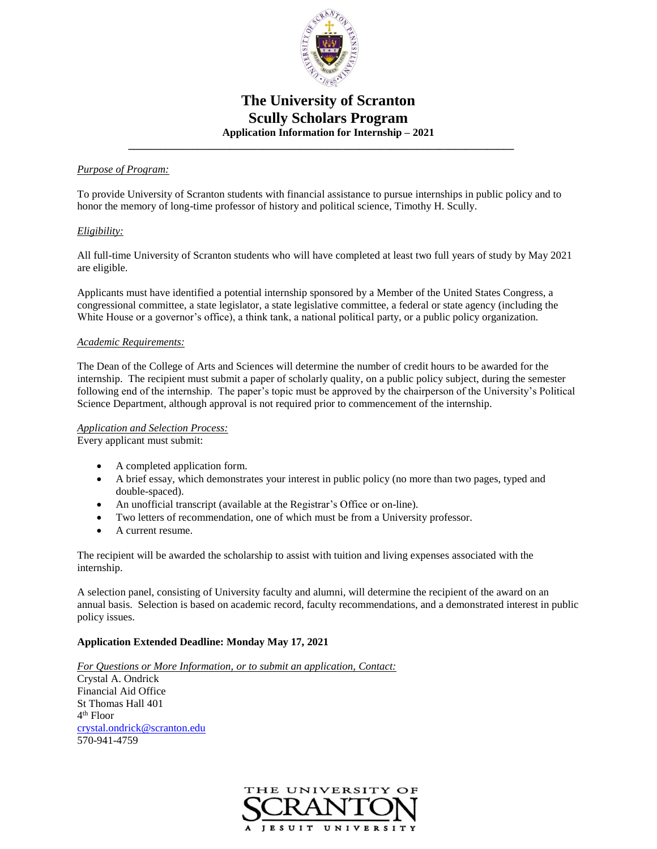

## **The University of Scranton Scully Scholars Program Application Information for Internship – 2021**

#### *Purpose of Program:*

To provide University of Scranton students with financial assistance to pursue internships in public policy and to honor the memory of long-time professor of history and political science, Timothy H. Scully.

 **\_\_\_\_\_\_\_\_\_\_\_\_\_\_\_\_\_\_\_\_\_\_\_\_\_\_\_\_\_\_\_\_\_\_\_\_\_\_\_\_\_\_\_\_\_\_\_\_\_\_\_\_\_\_\_\_\_\_\_\_\_\_\_\_\_\_\_\_\_\_\_\_**

#### *Eligibility:*

All full-time University of Scranton students who will have completed at least two full years of study by May 2021 are eligible.

Applicants must have identified a potential internship sponsored by a Member of the United States Congress, a congressional committee, a state legislator, a state legislative committee, a federal or state agency (including the White House or a governor's office), a think tank, a national political party, or a public policy organization.

#### *Academic Requirements:*

The Dean of the College of Arts and Sciences will determine the number of credit hours to be awarded for the internship. The recipient must submit a paper of scholarly quality, on a public policy subject, during the semester following end of the internship. The paper's topic must be approved by the chairperson of the University's Political Science Department, although approval is not required prior to commencement of the internship.

#### *Application and Selection Process:*

Every applicant must submit:

- A completed application form.
- A brief essay, which demonstrates your interest in public policy (no more than two pages, typed and double-spaced).
- An unofficial transcript (available at the Registrar's Office or on-line).
- Two letters of recommendation, one of which must be from a University professor.
- A current resume.

The recipient will be awarded the scholarship to assist with tuition and living expenses associated with the internship.

A selection panel, consisting of University faculty and alumni, will determine the recipient of the award on an annual basis. Selection is based on academic record, faculty recommendations, and a demonstrated interest in public policy issues.

#### **Application Extended Deadline: Monday May 17, 2021**

*For Questions or More Information, or to submit an application, Contact:*

Crystal A. Ondrick Financial Aid Office St Thomas Hall 401 4 th Floor [crystal.ondrick@scranton.edu](mailto:crystal.ondrick@scranton.edu) 570-941-4759

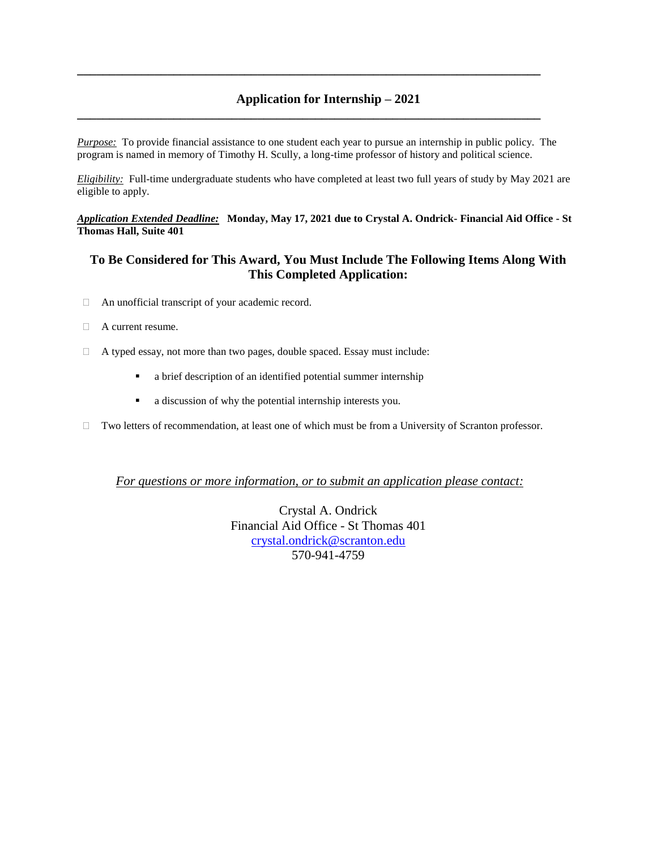## **Application for Internship – 2021**

*Purpose:* To provide financial assistance to one student each year to pursue an internship in public policy. The program is named in memory of Timothy H. Scully, a long-time professor of history and political science.

**\_\_\_\_\_\_\_\_\_\_\_\_\_\_\_\_\_\_\_\_\_\_\_\_\_\_\_\_\_\_\_\_\_\_\_\_\_\_\_\_\_\_\_\_\_\_\_\_\_\_\_\_\_\_\_\_\_\_\_\_\_\_\_\_\_\_\_\_\_\_\_\_**

**\_\_\_\_\_\_\_\_\_\_\_\_\_\_\_\_\_\_\_\_\_\_\_\_\_\_\_\_\_\_\_\_\_\_\_\_\_\_\_\_\_\_\_\_\_\_\_\_\_\_\_\_\_\_\_\_\_\_\_\_\_\_\_\_\_\_\_\_\_\_\_\_**

*Eligibility:* Full-time undergraduate students who have completed at least two full years of study by May 2021 are eligible to apply.

*Application Extended Deadline:* **Monday, May 17, 2021 due to Crystal A. Ondrick- Financial Aid Office - St Thomas Hall, Suite 401**

### **To Be Considered for This Award, You Must Include The Following Items Along With This Completed Application:**

- An unofficial transcript of your academic record.
- □ A current resume.
- A typed essay, not more than two pages, double spaced. Essay must include:
	- a brief description of an identified potential summer internship
	- a discussion of why the potential internship interests you.
- Two letters of recommendation, at least one of which must be from a University of Scranton professor.

*For questions or more information, or to submit an application please contact:*

Crystal A. Ondrick Financial Aid Office - St Thomas 401 [crystal.ondrick@scranton.edu](mailto:crystal.ondrick@scranton.edu) 570-941-4759